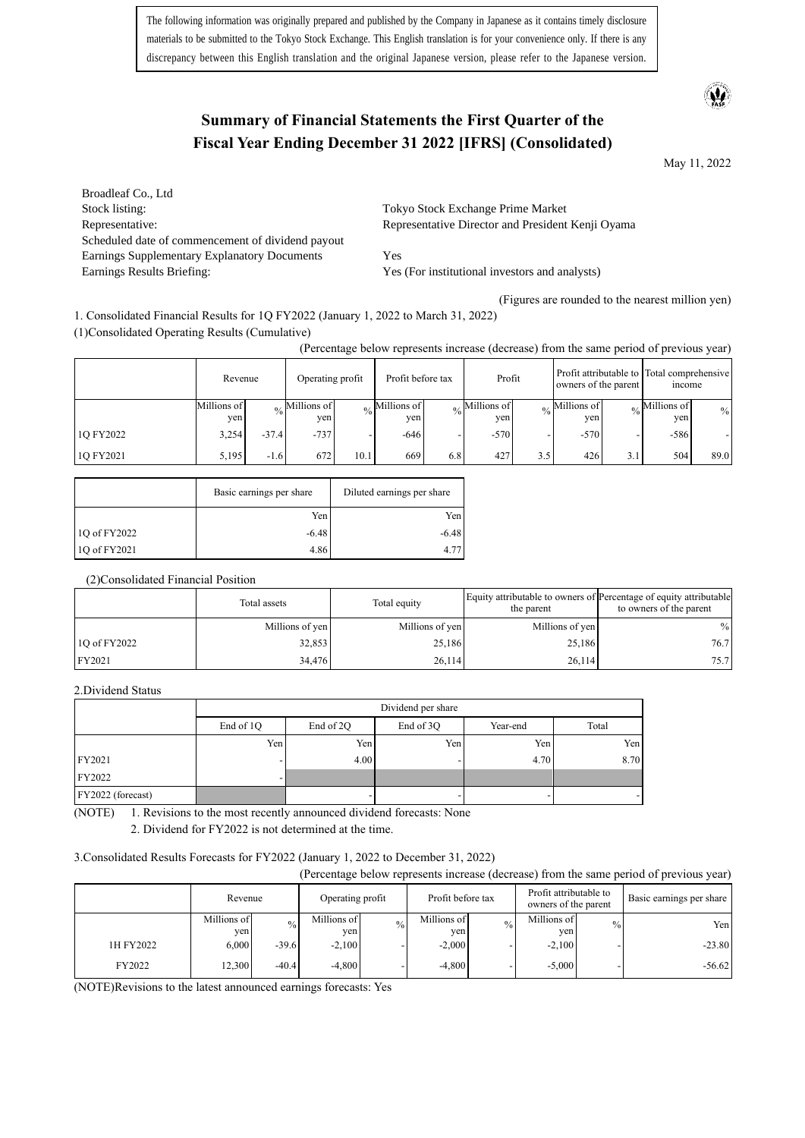The following information was originally prepared and published by the Company in Japanese as it contains timely disclosure materials to be submitted to the Tokyo Stock Exchange. This English translation is for your convenience only. If there is any discrepancy between this English translation and the original Japanese version, please refer to the Japanese version.

## **Summary of Financial Statements the First Quarter of the Fiscal Year Ending December 31 2022 [IFRS] (Consolidated)**

May 11, 2022

Broadleaf Co., Ltd Stock listing: Tokyo Stock Exchange Prime Market Representative: Representative: Representative Director and President Kenji Oyama Scheduled date of commencement of dividend payout Earnings Supplementary Explanatory Documents Yes Earnings Results Briefing: Yes (For institutional investors and analysts)

(Figures are rounded to the nearest million yen)

1. Consolidated Financial Results for 1Q FY2022 (January 1, 2022 to March 31, 2022) (1)Consolidated Operating Results (Cumulative)

(Percentage below represents increase (decrease) from the same period of previous year)

|           | Revenue            |         | Operating profit                  |      | Profit before tax                               |               | Profit             |               | owners of the parent |     | Profit attributable to Total comprehensive<br>mcome |      |
|-----------|--------------------|---------|-----------------------------------|------|-------------------------------------------------|---------------|--------------------|---------------|----------------------|-----|-----------------------------------------------------|------|
|           | Millions of<br>ven |         | $\frac{1}{20}$ Millions of<br>yen |      | $\frac{1}{26}$ Millions of $\frac{1}{2}$<br>ven | $\frac{0}{0}$ | Millions of<br>yen | $\frac{0}{0}$ | Millions of<br>yen   |     | Millions of<br>yen                                  | $\%$ |
| 1Q FY2022 | 3.254              | $-37.4$ | $-737$                            |      | $-646$                                          |               | $-570$             |               | $-570$               |     | $-586$                                              |      |
| 10 FY2021 | 5.195              | $-1.6$  | 672                               | 10.1 | 669                                             | 6.8           | 427                | 3.5           | 426                  | 3.1 | 504                                                 | 89.0 |

|              | Basic earnings per share | Diluted earnings per share |
|--------------|--------------------------|----------------------------|
|              | Yen                      | Yen                        |
| 10 of FY2022 | $-6.48$                  | $-6.48$                    |
| 1Q of FY2021 | 4.86                     |                            |

(2)Consolidated Financial Position

|              | Total assets    | Total equity    | the parent      | Equity attributable to owners of Percentage of equity attributable<br>to owners of the parent |
|--------------|-----------------|-----------------|-----------------|-----------------------------------------------------------------------------------------------|
|              | Millions of yen | Millions of yen | Millions of yen | $\frac{0}{0}$                                                                                 |
| 10 of FY2022 | 32,853          | 25,186          | 25,186          | 76.7                                                                                          |
| FY2021       | 34,476          | 26.114          | 26,114          | 75.7                                                                                          |

#### 2.Dividend Status

|                   | Dividend per share |           |           |          |       |  |  |
|-------------------|--------------------|-----------|-----------|----------|-------|--|--|
|                   | End of 1Q          | End of 2Q | End of 3Q | Year-end | Total |  |  |
|                   | Yen                | Yen       | Yen       | Yen      | Yen   |  |  |
| FY2021            |                    | 4.00      |           | 4.70     | 8.70  |  |  |
| FY2022            |                    |           |           |          |       |  |  |
| FY2022 (forecast) |                    |           |           |          |       |  |  |

(NOTE) 1. Revisions to the most recently announced dividend forecasts: None

2. Dividend for FY2022 is not determined at the time.

3.Consolidated Results Forecasts for FY2022 (January 1, 2022 to December 31, 2022)

(Percentage below represents increase (decrease) from the same period of previous year)

|           | Revenue            |               | Operating profit    |               | Profit before tax  |               | Profit attributable to<br>owners of the parent |      | Basic earnings per share |
|-----------|--------------------|---------------|---------------------|---------------|--------------------|---------------|------------------------------------------------|------|--------------------------|
|           | Millions of<br>ven | $\frac{0}{0}$ | Millions of<br>ven. | $\frac{0}{0}$ | Millions of<br>yen | $\frac{0}{0}$ | Millions of<br>yen                             | $\%$ | Yen                      |
| 1H FY2022 | 6.000              | $-39.6$       | $-2,100$            |               | $-2,000$           |               | $-2,100$                                       |      | $-23.80$                 |
| FY2022    | 12.300             | $-40.4$       | $-4.800$            |               | $-4.800$           |               | $-5.000$                                       |      | $-56.62$                 |

(NOTE)Revisions to the latest announced earnings forecasts: Yes

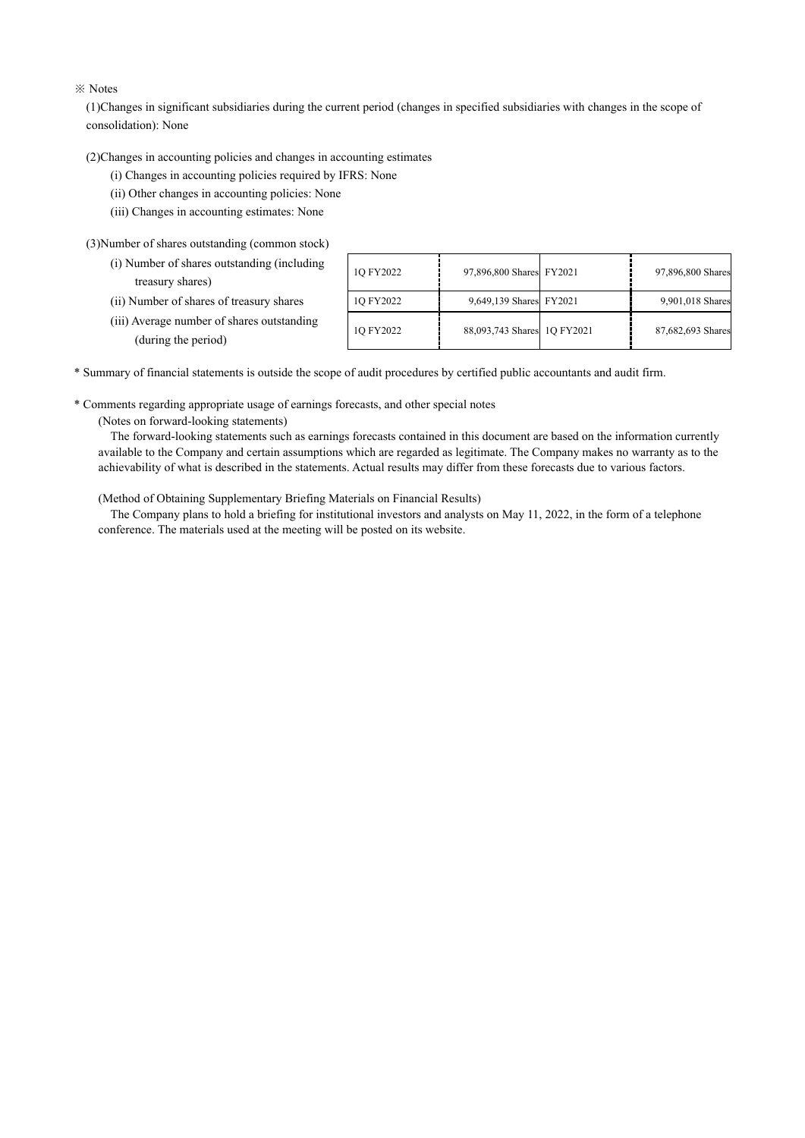#### ※ Notes

(1)Changes in significant subsidiaries during the current period (changes in specified subsidiaries with changes in the scope of consolidation): None

(2)Changes in accounting policies and changes in accounting estimates

(i) Changes in accounting policies required by IFRS: None

(ii) Other changes in accounting policies: None

(iii) Changes in accounting estimates: None

(3)Number of shares outstanding (common stock)

| (ii) Number of shares of treasury shares   |
|--------------------------------------------|
| (iii) Average number of shares outstanding |

| (i) Number of shares outstanding (including)<br>treasury shares)  | 1O FY2022 | 97,896,800 Shares FY2021    | 97,896,800 Shares |
|-------------------------------------------------------------------|-----------|-----------------------------|-------------------|
| (ii) Number of shares of treasury shares                          | 1Q FY2022 | 9,649,139 Shares FY2021     | 9,901,018 Shares  |
| (iii) Average number of shares outstanding<br>(during the period) | 1Q FY2022 | 88,093,743 Shares 1Q FY2021 | 87,682,693 Shares |

\* Summary of financial statements is outside the scope of audit procedures by certified public accountants and audit firm.

\* Comments regarding appropriate usage of earnings forecasts, and other special notes

(Notes on forward-looking statements)

The forward-looking statements such as earnings forecasts contained in this document are based on the information currently available to the Company and certain assumptions which are regarded as legitimate. The Company makes no warranty as to the achievability of what is described in the statements. Actual results may differ from these forecasts due to various factors.

(Method of Obtaining Supplementary Briefing Materials on Financial Results)

The Company plans to hold a briefing for institutional investors and analysts on May 11, 2022, in the form of a telephone conference. The materials used at the meeting will be posted on its website.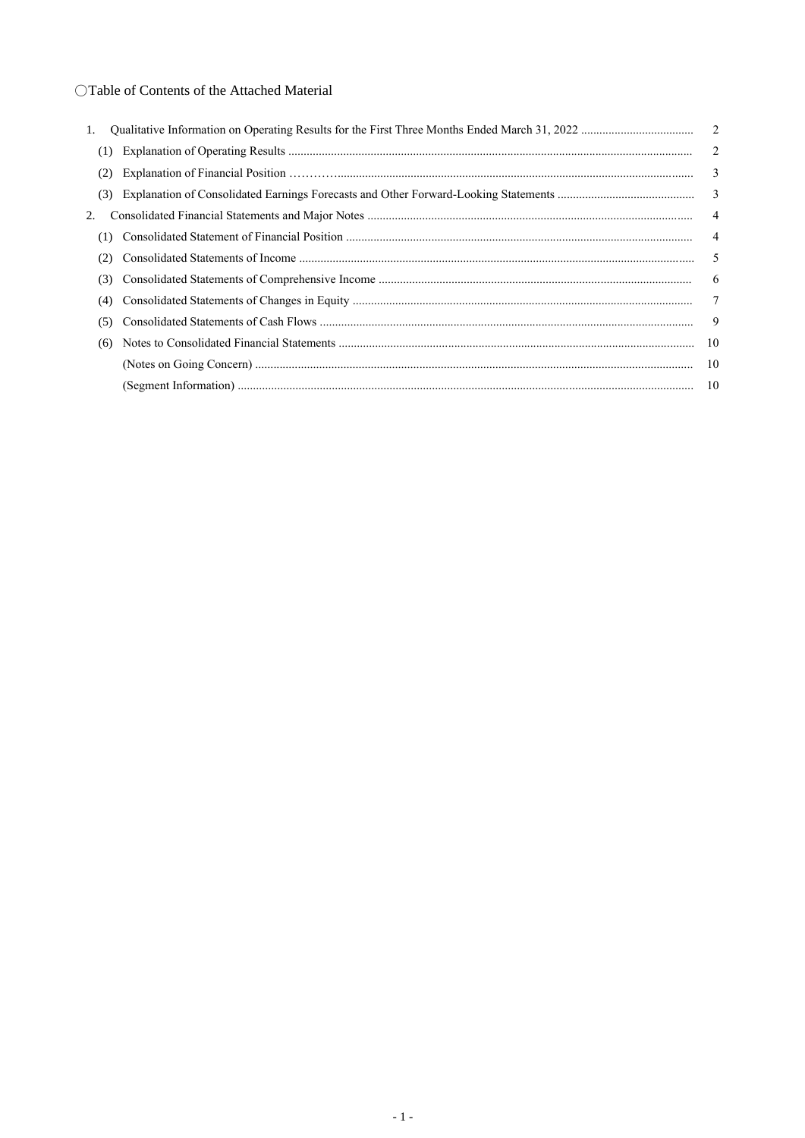## OTable of Contents of the Attached Material

| 1. |     |                          |
|----|-----|--------------------------|
|    | (1) |                          |
|    | (2) | 3                        |
|    | (3) |                          |
| 2. |     | $\overline{\phantom{0}}$ |
|    | (1) | $\overline{4}$           |
|    | (2) | $\overline{\phantom{0}}$ |
|    | (3) | 6                        |
|    | (4) |                          |
|    | (5) | - 9                      |
|    | (6) |                          |
|    |     |                          |
|    |     |                          |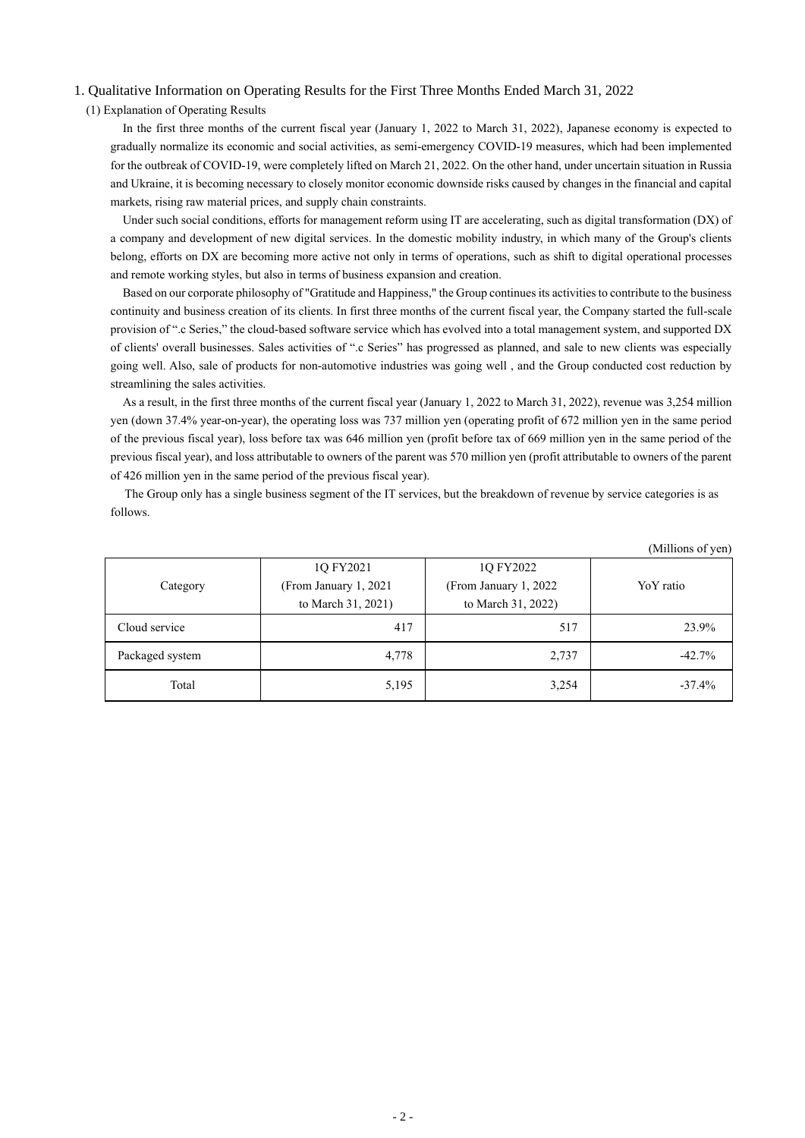#### 1. Qualitative Information on Operating Results for the First Three Months Ended March 31, 2022

#### (1) Explanation of Operating Results

In the first three months of the current fiscal year (January 1, 2022 to March 31, 2022), Japanese economy is expected to gradually normalize its economic and social activities, as semi-emergency COVID-19 measures, which had been implemented for the outbreak of COVID-19, were completely lifted on March 21, 2022. On the other hand, under uncertain situation in Russia and Ukraine, it is becoming necessary to closely monitor economic downside risks caused by changes in the financial and capital markets, rising raw material prices, and supply chain constraints.

Under such social conditions, efforts for management reform using IT are accelerating, such as digital transformation (DX) of a company and development of new digital services. In the domestic mobility industry, in which many of the Group's clients belong, efforts on DX are becoming more active not only in terms of operations, such as shift to digital operational processes and remote working styles, but also in terms of business expansion and creation.

Based on our corporate philosophy of "Gratitude and Happiness," the Group continuesits activities to contribute to the business continuity and business creation of its clients. In first three months of the current fiscal year, the Company started the full-scale provision of ".c Series," the cloud-based software service which has evolved into a total management system, and supported DX of clients' overall businesses. Sales activities of ".c Series" has progressed as planned, and sale to new clients was especially going well. Also, sale of products for non-automotive industries was going well , and the Group conducted cost reduction by streamlining the sales activities.

As a result, in the first three months of the current fiscal year (January 1, 2022 to March 31, 2022), revenue was 3,254 million yen (down 37.4% year-on-year), the operating loss was 737 million yen (operating profit of 672 million yen in the same period of the previous fiscal year), loss before tax was 646 million yen (profit before tax of 669 million yen in the same period of the previous fiscal year), and loss attributable to owners of the parent was 570 million yen (profit attributable to owners of the parent of 426 million yen in the same period of the previous fiscal year).

The Group only has a single business segment of the IT services, but the breakdown of revenue by service categories is as follows.

| (1)             |                        |                        |           |  |  |  |
|-----------------|------------------------|------------------------|-----------|--|--|--|
|                 | 1Q FY2021              | 1Q FY2022              |           |  |  |  |
| Category        | (From January 1, 2021) | (From January 1, 2022) | YoY ratio |  |  |  |
|                 | to March 31, 2021)     | to March 31, 2022)     |           |  |  |  |
| Cloud service   | 417                    | 517                    | 23.9%     |  |  |  |
| Packaged system | 4,778                  | 2,737                  | $-42.7%$  |  |  |  |
| Total           | 5,195                  | 3,254                  | $-37.4%$  |  |  |  |

(Millions of yen)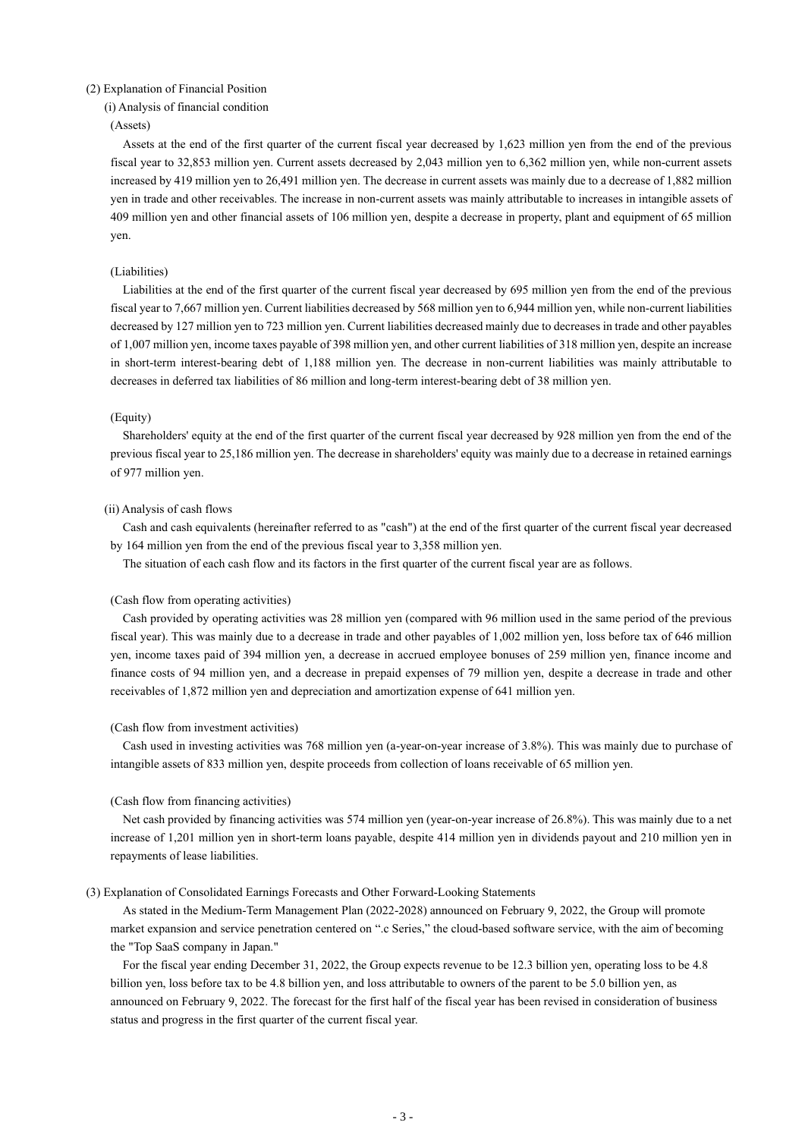#### (2) Explanation of Financial Position

(i) Analysis of financial condition

#### (Assets)

Assets at the end of the first quarter of the current fiscal year decreased by 1,623 million yen from the end of the previous fiscal year to 32,853 million yen. Current assets decreased by 2,043 million yen to 6,362 million yen, while non-current assets increased by 419 million yen to 26,491 million yen. The decrease in current assets was mainly due to a decrease of 1,882 million yen in trade and other receivables. The increase in non-current assets was mainly attributable to increases in intangible assets of 409 million yen and other financial assets of 106 million yen, despite a decrease in property, plant and equipment of 65 million yen.

#### (Liabilities)

Liabilities at the end of the first quarter of the current fiscal year decreased by 695 million yen from the end of the previous fiscal year to 7,667 million yen. Current liabilities decreased by 568 million yen to 6,944 million yen, while non-current liabilities decreased by 127 million yen to 723 million yen. Current liabilities decreased mainly due to decreases in trade and other payables of 1,007 million yen, income taxes payable of 398 million yen, and other current liabilities of 318 million yen, despite an increase in short-term interest-bearing debt of 1,188 million yen. The decrease in non-current liabilities was mainly attributable to decreases in deferred tax liabilities of 86 million and long-term interest-bearing debt of 38 million yen.

#### (Equity)

Shareholders' equity at the end of the first quarter of the current fiscal year decreased by 928 million yen from the end of the previous fiscal year to 25,186 million yen. The decrease in shareholders' equity was mainly due to a decrease in retained earnings of 977 million yen.

#### (ii) Analysis of cash flows

Cash and cash equivalents (hereinafter referred to as "cash") at the end of the first quarter of the current fiscal year decreased by 164 million yen from the end of the previous fiscal year to 3,358 million yen.

The situation of each cash flow and its factors in the first quarter of the current fiscal year are as follows.

#### (Cash flow from operating activities)

Cash provided by operating activities was 28 million yen (compared with 96 million used in the same period of the previous fiscal year). This was mainly due to a decrease in trade and other payables of 1,002 million yen, loss before tax of 646 million yen, income taxes paid of 394 million yen, a decrease in accrued employee bonuses of 259 million yen, finance income and finance costs of 94 million yen, and a decrease in prepaid expenses of 79 million yen, despite a decrease in trade and other receivables of 1,872 million yen and depreciation and amortization expense of 641 million yen.

#### (Cash flow from investment activities)

Cash used in investing activities was 768 million yen (a-year-on-year increase of 3.8%). This was mainly due to purchase of intangible assets of 833 million yen, despite proceeds from collection of loans receivable of 65 million yen.

#### (Cash flow from financing activities)

Net cash provided by financing activities was 574 million yen (year-on-year increase of 26.8%). This was mainly due to a net increase of 1,201 million yen in short-term loans payable, despite 414 million yen in dividends payout and 210 million yen in repayments of lease liabilities.

#### (3) Explanation of Consolidated Earnings Forecasts and Other Forward-Looking Statements

As stated in the Medium-Term Management Plan (2022-2028) announced on February 9, 2022, the Group will promote market expansion and service penetration centered on ".c Series," the cloud-based software service, with the aim of becoming the "Top SaaS company in Japan."

For the fiscal year ending December 31, 2022, the Group expects revenue to be 12.3 billion yen, operating loss to be 4.8 billion yen, loss before tax to be 4.8 billion yen, and loss attributable to owners of the parent to be 5.0 billion yen, as announced on February 9, 2022. The forecast for the first half of the fiscal year has been revised in consideration of business status and progress in the first quarter of the current fiscal year.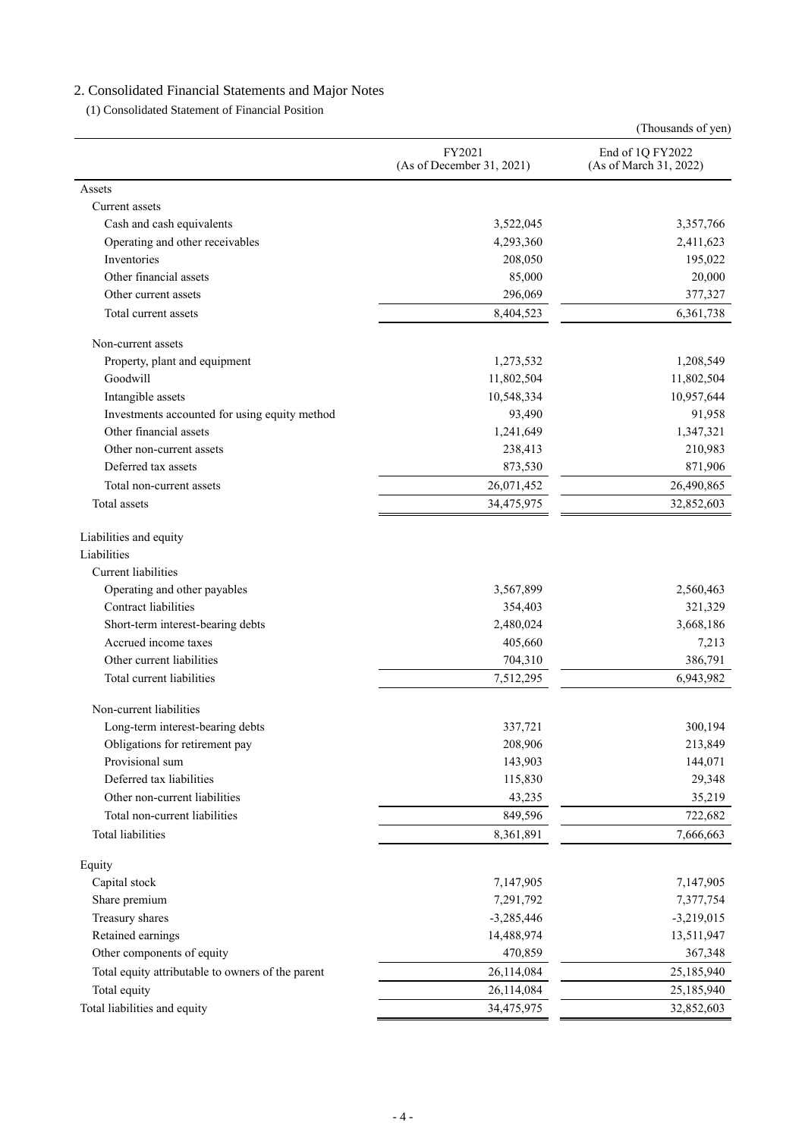# 2. Consolidated Financial Statements and Major Notes

(1) Consolidated Statement of Financial Position

|                                                                     |                                     | (Thousands of yen)                         |
|---------------------------------------------------------------------|-------------------------------------|--------------------------------------------|
|                                                                     | FY2021<br>(As of December 31, 2021) | End of 1Q FY2022<br>(As of March 31, 2022) |
| Assets                                                              |                                     |                                            |
| Current assets                                                      |                                     |                                            |
| Cash and cash equivalents                                           | 3,522,045                           | 3,357,766                                  |
| Operating and other receivables                                     | 4,293,360                           | 2,411,623                                  |
| Inventories                                                         | 208,050                             | 195,022                                    |
| Other financial assets                                              | 85,000                              | 20,000                                     |
| Other current assets                                                | 296,069                             | 377,327                                    |
| Total current assets                                                | 8,404,523                           | 6,361,738                                  |
| Non-current assets                                                  |                                     |                                            |
| Property, plant and equipment                                       | 1,273,532                           | 1,208,549                                  |
| Goodwill                                                            | 11,802,504                          | 11,802,504                                 |
| Intangible assets                                                   | 10,548,334                          | 10,957,644                                 |
| Investments accounted for using equity method                       | 93,490                              | 91,958                                     |
| Other financial assets                                              | 1,241,649                           | 1,347,321                                  |
| Other non-current assets                                            | 238,413                             | 210,983                                    |
| Deferred tax assets                                                 | 873,530                             | 871,906                                    |
| Total non-current assets                                            | 26,071,452                          | 26,490,865                                 |
| Total assets                                                        | 34,475,975                          | 32,852,603                                 |
| Liabilities and equity<br>Liabilities<br><b>Current liabilities</b> |                                     |                                            |
| Operating and other payables                                        | 3,567,899                           | 2,560,463                                  |
| Contract liabilities                                                | 354,403                             | 321,329                                    |
| Short-term interest-bearing debts                                   | 2,480,024                           | 3,668,186                                  |
| Accrued income taxes                                                | 405,660                             | 7,213                                      |
| Other current liabilities                                           | 704,310                             | 386,791                                    |
| Total current liabilities                                           | 7,512,295                           | 6,943,982                                  |
| Non-current liabilities                                             |                                     |                                            |
| Long-term interest-bearing debts                                    | 337,721                             | 300,194                                    |
| Obligations for retirement pay                                      | 208,906                             | 213,849                                    |
| Provisional sum                                                     | 143,903                             | 144,071                                    |
| Deferred tax liabilities                                            | 115,830                             | 29,348                                     |
| Other non-current liabilities                                       | 43,235                              | 35,219                                     |
| Total non-current liabilities                                       | 849,596                             | 722,682                                    |
| <b>Total liabilities</b>                                            | 8,361,891                           | 7,666,663                                  |
| Equity                                                              |                                     |                                            |
| Capital stock                                                       | 7,147,905                           | 7,147,905                                  |
| Share premium                                                       | 7,291,792                           | 7,377,754                                  |
| Treasury shares                                                     | $-3,285,446$                        | $-3,219,015$                               |
| Retained earnings                                                   | 14,488,974                          | 13,511,947                                 |
| Other components of equity                                          | 470,859                             | 367,348                                    |
| Total equity attributable to owners of the parent                   | 26,114,084                          | 25,185,940                                 |
| Total equity                                                        | 26,114,084                          | 25,185,940                                 |
| Total liabilities and equity                                        | 34,475,975                          | 32,852,603                                 |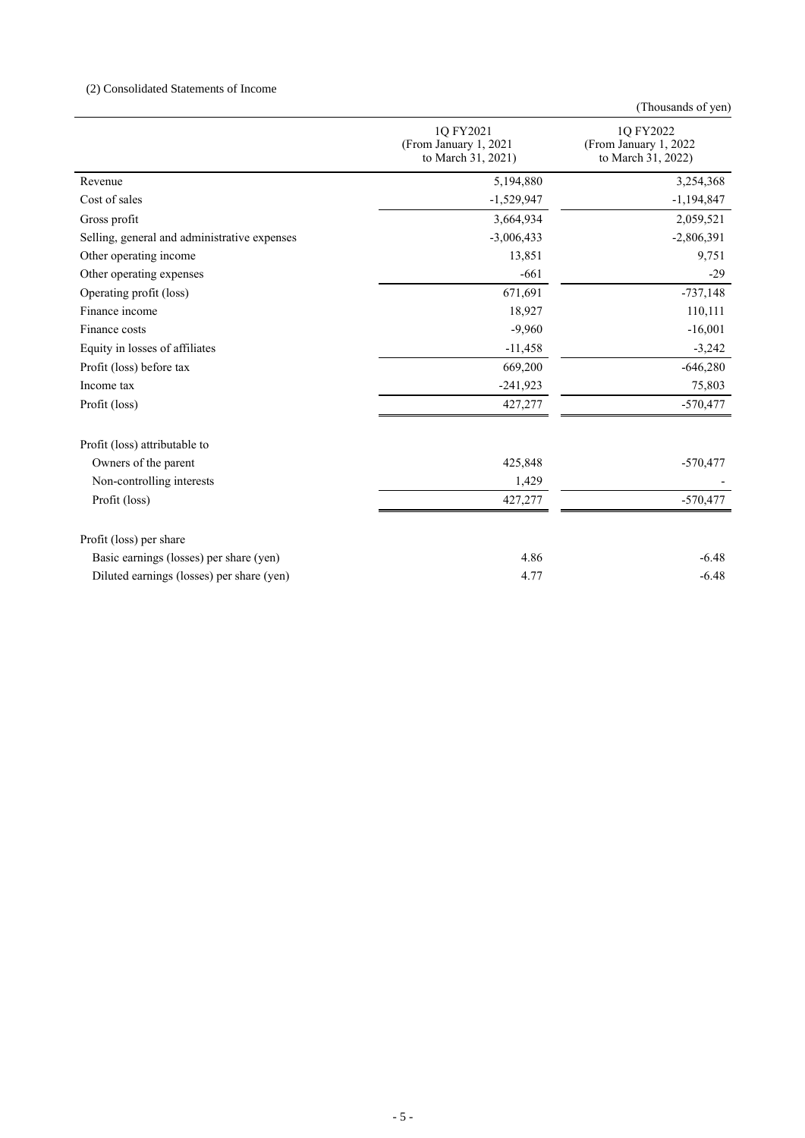## (2) Consolidated Statements of Income

|                                              |                                                          | (Thousands of yen)                                       |
|----------------------------------------------|----------------------------------------------------------|----------------------------------------------------------|
|                                              | 1Q FY2021<br>(From January 1, 2021<br>to March 31, 2021) | 1Q FY2022<br>(From January 1, 2022<br>to March 31, 2022) |
| Revenue                                      | 5,194,880                                                | 3,254,368                                                |
| Cost of sales                                | $-1,529,947$                                             | $-1,194,847$                                             |
| Gross profit                                 | 3,664,934                                                | 2,059,521                                                |
| Selling, general and administrative expenses | $-3,006,433$                                             | $-2,806,391$                                             |
| Other operating income                       | 13,851                                                   | 9,751                                                    |
| Other operating expenses                     | $-661$                                                   | $-29$                                                    |
| Operating profit (loss)                      | 671,691                                                  | $-737,148$                                               |
| Finance income                               | 18,927                                                   | 110,111                                                  |
| Finance costs                                | $-9,960$                                                 | $-16,001$                                                |
| Equity in losses of affiliates               | $-11,458$                                                | $-3,242$                                                 |
| Profit (loss) before tax                     | 669,200                                                  | $-646,280$                                               |
| Income tax                                   | $-241,923$                                               | 75,803                                                   |
| Profit (loss)                                | 427,277                                                  | $-570,477$                                               |
| Profit (loss) attributable to                |                                                          |                                                          |
| Owners of the parent                         | 425,848                                                  | $-570,477$                                               |
| Non-controlling interests                    | 1,429                                                    |                                                          |
| Profit (loss)                                | 427,277                                                  | $-570,477$                                               |
| Profit (loss) per share                      |                                                          |                                                          |
| Basic earnings (losses) per share (yen)      | 4.86                                                     | $-6.48$                                                  |
| Diluted earnings (losses) per share (yen)    | 4.77                                                     | $-6.48$                                                  |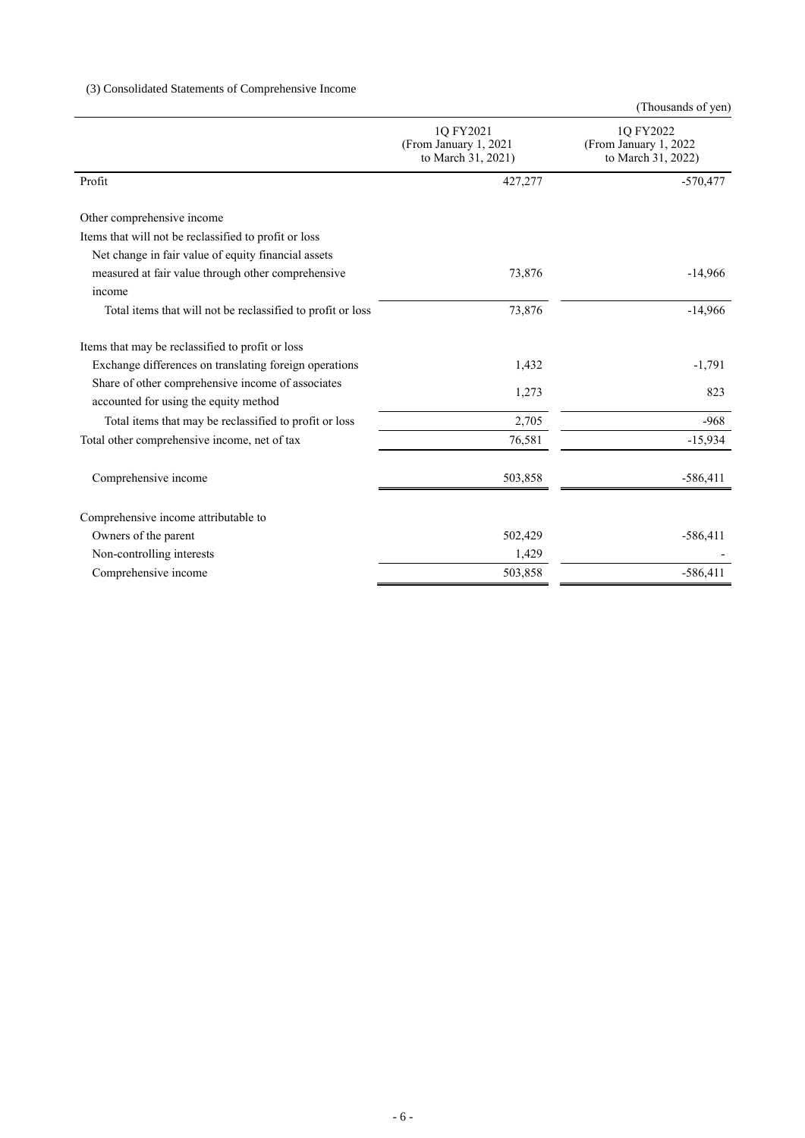## (3) Consolidated Statements of Comprehensive Income

|                                                             | 1Q FY2021<br>(From January 1, 2021)<br>to March 31, 2021) | 1Q FY2022<br>(From January 1, 2022)<br>to March 31, 2022) |
|-------------------------------------------------------------|-----------------------------------------------------------|-----------------------------------------------------------|
| Profit                                                      | 427,277                                                   | $-570,477$                                                |
|                                                             |                                                           |                                                           |
| Other comprehensive income                                  |                                                           |                                                           |
| Items that will not be reclassified to profit or loss       |                                                           |                                                           |
| Net change in fair value of equity financial assets         |                                                           |                                                           |
| measured at fair value through other comprehensive          | 73,876                                                    | $-14,966$                                                 |
| income                                                      |                                                           |                                                           |
| Total items that will not be reclassified to profit or loss | 73,876                                                    | $-14,966$                                                 |
| Items that may be reclassified to profit or loss            |                                                           |                                                           |
| Exchange differences on translating foreign operations      | 1,432                                                     | $-1,791$                                                  |
| Share of other comprehensive income of associates           |                                                           |                                                           |
| accounted for using the equity method                       | 1,273                                                     | 823                                                       |
| Total items that may be reclassified to profit or loss      | 2,705                                                     | $-968$                                                    |
| Total other comprehensive income, net of tax                | 76,581                                                    | $-15,934$                                                 |
| Comprehensive income                                        | 503,858                                                   | $-586,411$                                                |
|                                                             |                                                           |                                                           |
| Comprehensive income attributable to                        |                                                           |                                                           |
| Owners of the parent                                        | 502,429                                                   | $-586,411$                                                |
| Non-controlling interests                                   | 1,429                                                     |                                                           |
| Comprehensive income                                        | 503,858                                                   | $-586,411$                                                |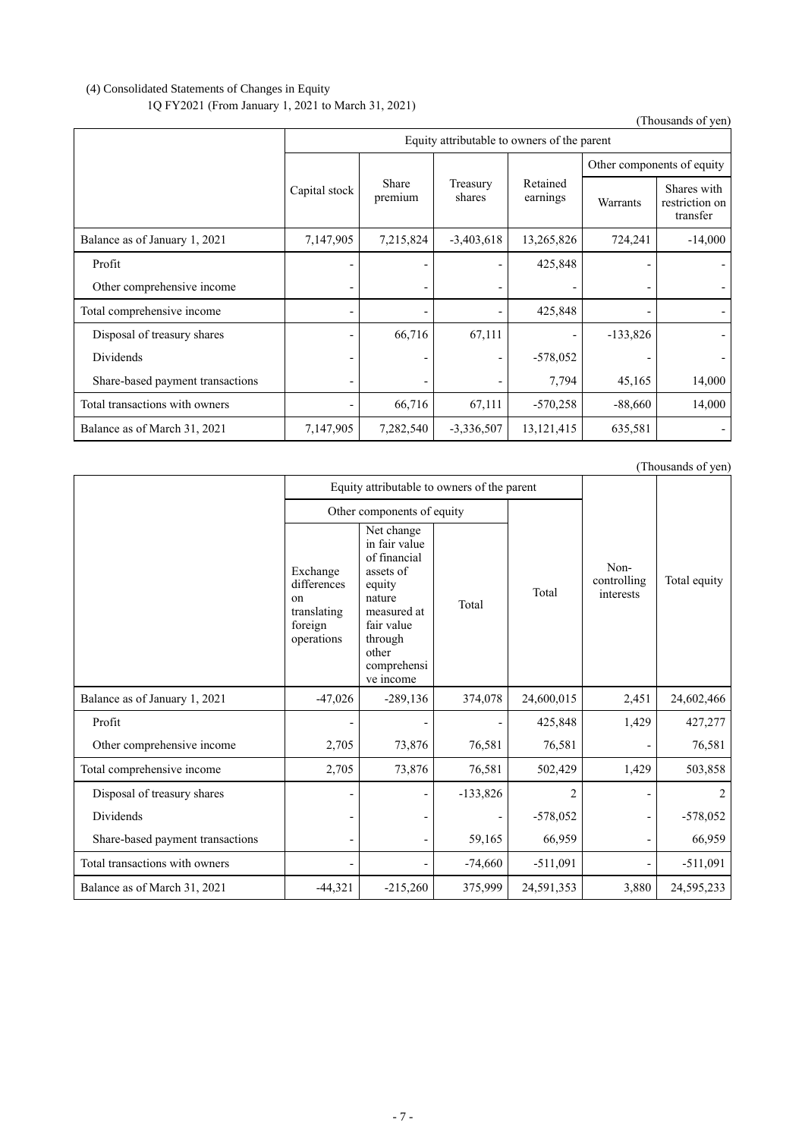## (4) Consolidated Statements of Changes in Equity 1Q FY2021 (From January 1, 2021 to March 31, 2021)

(Thousands of yen)

|                                  | Equity attributable to owners of the parent |                  |                              |                      |                            |                                           |
|----------------------------------|---------------------------------------------|------------------|------------------------------|----------------------|----------------------------|-------------------------------------------|
|                                  |                                             |                  |                              |                      | Other components of equity |                                           |
|                                  | Capital stock                               | Share<br>premium | Treasury<br>shares           | Retained<br>earnings | Warrants                   | Shares with<br>restriction on<br>transfer |
| Balance as of January 1, 2021    | 7,147,905                                   | 7,215,824        | $-3,403,618$                 | 13,265,826           | 724,241                    | $-14,000$                                 |
| Profit                           |                                             |                  | $\qquad \qquad \blacksquare$ | 425,848              |                            |                                           |
| Other comprehensive income       |                                             |                  | -                            |                      |                            |                                           |
| Total comprehensive income       |                                             |                  |                              | 425,848              |                            |                                           |
| Disposal of treasury shares      |                                             | 66,716           | 67,111                       |                      | $-133,826$                 |                                           |
| Dividends                        |                                             |                  | -                            | $-578,052$           |                            |                                           |
| Share-based payment transactions |                                             |                  |                              | 7,794                | 45,165                     | 14,000                                    |
| Total transactions with owners   |                                             | 66,716           | 67,111                       | $-570,258$           | $-88,660$                  | 14,000                                    |
| Balance as of March 31, 2021     | 7,147,905                                   | 7,282,540        | $-3,336,507$                 | 13, 121, 415         | 635,581                    |                                           |

|                                  |                                                                                  | Equity attributable to owners of the parent                                                                                                               |            |                |                                  |              |
|----------------------------------|----------------------------------------------------------------------------------|-----------------------------------------------------------------------------------------------------------------------------------------------------------|------------|----------------|----------------------------------|--------------|
|                                  | Other components of equity                                                       |                                                                                                                                                           |            |                |                                  |              |
|                                  | Exchange<br>differences<br><sub>on</sub><br>translating<br>foreign<br>operations | Net change<br>in fair value<br>of financial<br>assets of<br>equity<br>nature<br>measured at<br>fair value<br>through<br>other<br>comprehensi<br>ve income | Total      | Total          | Non-<br>controlling<br>interests | Total equity |
| Balance as of January 1, 2021    | $-47,026$                                                                        | $-289,136$                                                                                                                                                | 374,078    | 24,600,015     | 2,451                            | 24,602,466   |
| Profit                           |                                                                                  |                                                                                                                                                           |            | 425,848        | 1,429                            | 427,277      |
| Other comprehensive income       | 2,705                                                                            | 73,876                                                                                                                                                    | 76,581     | 76,581         |                                  | 76,581       |
| Total comprehensive income       | 2,705                                                                            | 73,876                                                                                                                                                    | 76,581     | 502,429        | 1,429                            | 503,858      |
| Disposal of treasury shares      |                                                                                  |                                                                                                                                                           | $-133,826$ | $\overline{2}$ |                                  | 2            |
| Dividends                        |                                                                                  |                                                                                                                                                           |            | $-578,052$     |                                  | $-578,052$   |
| Share-based payment transactions |                                                                                  | $\overline{\phantom{0}}$                                                                                                                                  | 59,165     | 66,959         | $\overline{a}$                   | 66,959       |
| Total transactions with owners   |                                                                                  |                                                                                                                                                           | $-74,660$  | $-511,091$     |                                  | $-511,091$   |
| Balance as of March 31, 2021     | $-44,321$                                                                        | $-215,260$                                                                                                                                                | 375,999    | 24,591,353     | 3,880                            | 24,595,233   |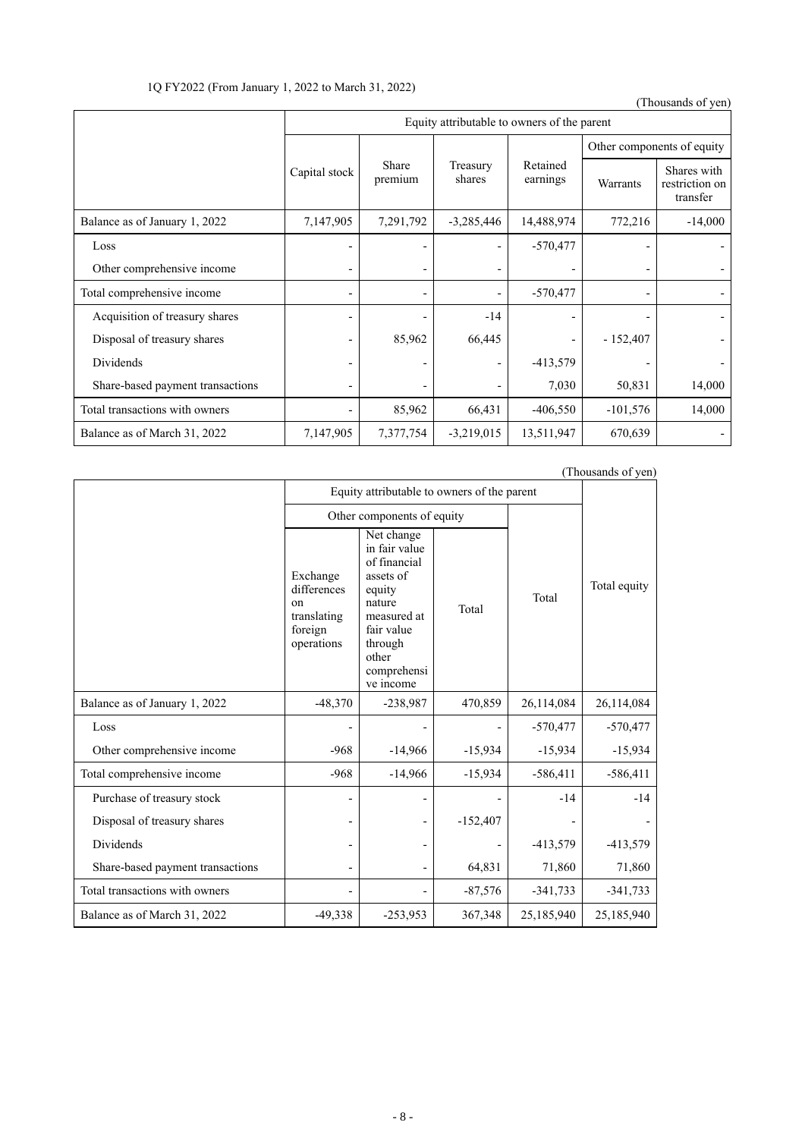1Q FY2022 (From January 1, 2022 to March 31, 2022)

(Thousands of yen)

|                                  | Equity attributable to owners of the parent |                  |                          |                      |                            |                                           |
|----------------------------------|---------------------------------------------|------------------|--------------------------|----------------------|----------------------------|-------------------------------------------|
|                                  |                                             |                  |                          |                      | Other components of equity |                                           |
|                                  | Capital stock                               | Share<br>premium | Treasury<br>shares       | Retained<br>earnings | Warrants                   | Shares with<br>restriction on<br>transfer |
| Balance as of January 1, 2022    | 7,147,905                                   | 7,291,792        | $-3,285,446$             | 14,488,974           | 772,216                    | $-14,000$                                 |
| Loss                             |                                             |                  | $\overline{\phantom{0}}$ | $-570,477$           |                            |                                           |
| Other comprehensive income       |                                             |                  | $\overline{\phantom{0}}$ |                      |                            |                                           |
| Total comprehensive income       |                                             |                  | $\overline{\phantom{a}}$ | $-570,477$           | $\overline{\phantom{0}}$   |                                           |
| Acquisition of treasury shares   |                                             |                  | $-14$                    |                      |                            |                                           |
| Disposal of treasury shares      |                                             | 85,962           | 66,445                   |                      | $-152,407$                 |                                           |
| Dividends                        |                                             |                  | -                        | $-413,579$           |                            |                                           |
| Share-based payment transactions |                                             |                  |                          | 7,030                | 50,831                     | 14,000                                    |
| Total transactions with owners   |                                             | 85,962           | 66,431                   | $-406,550$           | $-101,576$                 | 14,000                                    |
| Balance as of March 31, 2022     | 7,147,905                                   | 7,377,754        | $-3,219,015$             | 13,511,947           | 670,639                    |                                           |

|                                  | Equity attributable to owners of the parent                                      | $(1100$ asanus 01 $y$ cn                                                                                                                                  |            |            |              |
|----------------------------------|----------------------------------------------------------------------------------|-----------------------------------------------------------------------------------------------------------------------------------------------------------|------------|------------|--------------|
|                                  |                                                                                  | Other components of equity                                                                                                                                |            |            |              |
|                                  | Exchange<br>differences<br><sub>on</sub><br>translating<br>foreign<br>operations | Net change<br>in fair value<br>of financial<br>assets of<br>equity<br>nature<br>measured at<br>fair value<br>through<br>other<br>comprehensi<br>ve income | Total      | Total      | Total equity |
| Balance as of January 1, 2022    | $-48,370$                                                                        | -238,987                                                                                                                                                  | 470,859    | 26,114,084 | 26,114,084   |
| Loss                             |                                                                                  |                                                                                                                                                           |            | $-570,477$ | $-570,477$   |
| Other comprehensive income       | $-968$                                                                           | $-14,966$                                                                                                                                                 | $-15,934$  | $-15,934$  | $-15,934$    |
| Total comprehensive income       | $-968$                                                                           | $-14,966$                                                                                                                                                 | $-15,934$  | $-586,411$ | $-586,411$   |
| Purchase of treasury stock       |                                                                                  |                                                                                                                                                           |            | $-14$      | $-14$        |
| Disposal of treasury shares      |                                                                                  |                                                                                                                                                           | $-152,407$ |            |              |
| Dividends                        |                                                                                  |                                                                                                                                                           |            | $-413,579$ | $-413,579$   |
| Share-based payment transactions |                                                                                  |                                                                                                                                                           | 64,831     | 71,860     | 71,860       |
| Total transactions with owners   |                                                                                  |                                                                                                                                                           | $-87,576$  | $-341,733$ | $-341,733$   |
| Balance as of March 31, 2022     | $-49,338$                                                                        | $-253,953$                                                                                                                                                | 367,348    | 25,185,940 | 25,185,940   |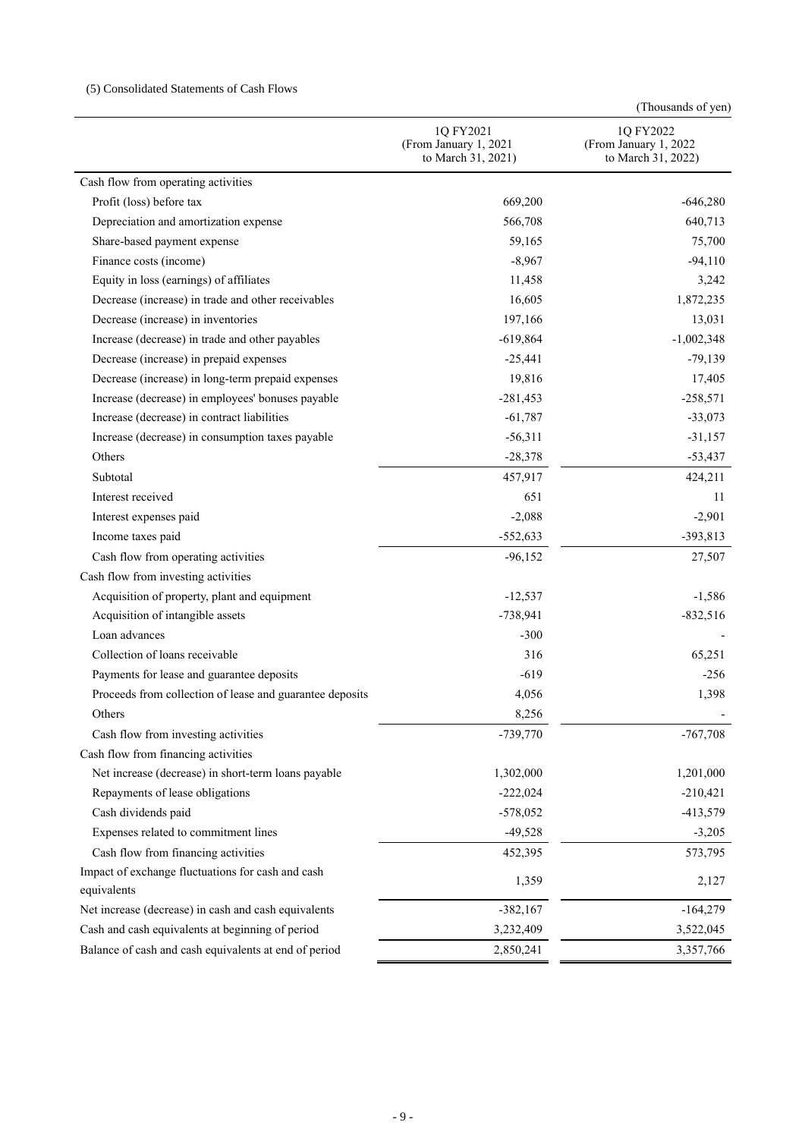## (5) Consolidated Statements of Cash Flows

|                                                          | 1Q FY2021<br>(From January 1, 2021<br>to March 31, 2021) | 1Q FY2022<br>(From January 1, 2022<br>to March 31, 2022) |  |
|----------------------------------------------------------|----------------------------------------------------------|----------------------------------------------------------|--|
| Cash flow from operating activities                      |                                                          |                                                          |  |
| Profit (loss) before tax                                 | 669,200                                                  | $-646,280$                                               |  |
| Depreciation and amortization expense                    | 566,708                                                  | 640,713                                                  |  |
| Share-based payment expense                              | 59,165                                                   | 75,700                                                   |  |
| Finance costs (income)                                   | $-8,967$                                                 | $-94,110$                                                |  |
| Equity in loss (earnings) of affiliates                  | 11,458                                                   | 3,242                                                    |  |
| Decrease (increase) in trade and other receivables       | 16,605                                                   | 1,872,235                                                |  |
| Decrease (increase) in inventories                       | 197,166                                                  | 13,031                                                   |  |
| Increase (decrease) in trade and other payables          | $-619,864$                                               | $-1,002,348$                                             |  |
| Decrease (increase) in prepaid expenses                  | $-25,441$                                                | $-79,139$                                                |  |
| Decrease (increase) in long-term prepaid expenses        | 19,816                                                   | 17,405                                                   |  |
| Increase (decrease) in employees' bonuses payable        | $-281,453$                                               | $-258,571$                                               |  |
| Increase (decrease) in contract liabilities              | $-61,787$                                                | $-33,073$                                                |  |
| Increase (decrease) in consumption taxes payable         | $-56,311$                                                | $-31,157$                                                |  |
| Others                                                   | $-28,378$                                                | $-53,437$                                                |  |
| Subtotal                                                 | 457,917                                                  | 424,211                                                  |  |
| Interest received                                        | 651                                                      | 11                                                       |  |
| Interest expenses paid                                   | $-2,088$                                                 | $-2,901$                                                 |  |
| Income taxes paid                                        | $-552,633$                                               | $-393,813$                                               |  |
| Cash flow from operating activities                      | $-96,152$                                                | 27,507                                                   |  |
| Cash flow from investing activities                      |                                                          |                                                          |  |
| Acquisition of property, plant and equipment             | $-12,537$                                                | $-1,586$                                                 |  |
| Acquisition of intangible assets                         | $-738,941$                                               | $-832,516$                                               |  |
| Loan advances                                            | $-300$                                                   |                                                          |  |
| Collection of loans receivable                           | 316                                                      | 65,251                                                   |  |
| Payments for lease and guarantee deposits                | $-619$                                                   | $-256$                                                   |  |
| Proceeds from collection of lease and guarantee deposits | 4,056                                                    | 1,398                                                    |  |
| Others                                                   | 8,256                                                    |                                                          |  |
| Cash flow from investing activities                      | $-739,770$                                               | $-767,708$                                               |  |
| Cash flow from financing activities                      |                                                          |                                                          |  |
| Net increase (decrease) in short-term loans payable      | 1,302,000                                                | 1,201,000                                                |  |
| Repayments of lease obligations                          | $-222,024$                                               | $-210,421$                                               |  |
| Cash dividends paid                                      | $-578,052$                                               | $-413,579$                                               |  |
| Expenses related to commitment lines                     | $-49,528$                                                | $-3,205$                                                 |  |
| Cash flow from financing activities                      | 452,395                                                  | 573,795                                                  |  |
| Impact of exchange fluctuations for cash and cash        |                                                          | 2,127                                                    |  |
| equivalents                                              | 1,359                                                    |                                                          |  |
| Net increase (decrease) in cash and cash equivalents     | $-382,167$                                               | $-164,279$                                               |  |
| Cash and cash equivalents at beginning of period         | 3,232,409                                                | 3,522,045                                                |  |
| Balance of cash and cash equivalents at end of period    | 2,850,241                                                | 3,357,766                                                |  |